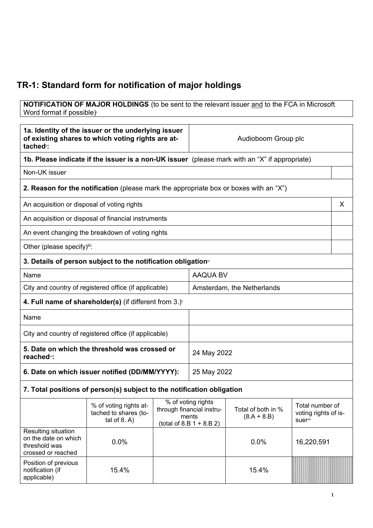## **TR-1: Standard form for notification of major holdings**

**NOTIFICATION OF MAJOR HOLDINGS** (to be sent to the relevant issuer and to the FCA in Microsoft Word format if possible)

| 1a. Identity of the issuer or the underlying issuer<br>of existing shares to which voting rights are at-<br>tached <sup>®</sup> : |                                                                                       |             | Audioboom Group plc                                                                           |                                     |                                                    |   |
|-----------------------------------------------------------------------------------------------------------------------------------|---------------------------------------------------------------------------------------|-------------|-----------------------------------------------------------------------------------------------|-------------------------------------|----------------------------------------------------|---|
|                                                                                                                                   |                                                                                       |             | 1b. Please indicate if the issuer is a non-UK issuer (please mark with an "X" if appropriate) |                                     |                                                    |   |
| Non-UK issuer                                                                                                                     |                                                                                       |             |                                                                                               |                                     |                                                    |   |
|                                                                                                                                   | 2. Reason for the notification (please mark the appropriate box or boxes with an "X") |             |                                                                                               |                                     |                                                    |   |
| An acquisition or disposal of voting rights                                                                                       |                                                                                       |             |                                                                                               |                                     |                                                    | X |
|                                                                                                                                   | An acquisition or disposal of financial instruments                                   |             |                                                                                               |                                     |                                                    |   |
|                                                                                                                                   | An event changing the breakdown of voting rights                                      |             |                                                                                               |                                     |                                                    |   |
| Other (please specify)iii:                                                                                                        |                                                                                       |             |                                                                                               |                                     |                                                    |   |
|                                                                                                                                   | 3. Details of person subject to the notification obligation <sup>®</sup>              |             |                                                                                               |                                     |                                                    |   |
| Name                                                                                                                              |                                                                                       |             | <b>AAQUA BV</b>                                                                               |                                     |                                                    |   |
|                                                                                                                                   | City and country of registered office (if applicable)                                 |             | Amsterdam, the Netherlands                                                                    |                                     |                                                    |   |
| 4. Full name of shareholder(s) (if different from $3.$ ) $\check{ }$                                                              |                                                                                       |             |                                                                                               |                                     |                                                    |   |
| Name                                                                                                                              |                                                                                       |             |                                                                                               |                                     |                                                    |   |
| City and country of registered office (if applicable)                                                                             |                                                                                       |             |                                                                                               |                                     |                                                    |   |
| 5. Date on which the threshold was crossed or<br>reached <sup>vi</sup> :                                                          |                                                                                       | 24 May 2022 |                                                                                               |                                     |                                                    |   |
| 6. Date on which issuer notified (DD/MM/YYYY):                                                                                    |                                                                                       | 25 May 2022 |                                                                                               |                                     |                                                    |   |
|                                                                                                                                   | 7. Total positions of person(s) subject to the notification obligation                |             |                                                                                               |                                     |                                                    |   |
|                                                                                                                                   | % of voting rights at-<br>tached to shares (to-<br>tal of $8. A$ )                    |             | % of voting rights<br>through financial instru-<br>ments<br>$(total of 8.B 1 + 8.B 2)$        | Total of both in %<br>$(8.A + 8.B)$ | Total number of<br>voting rights of is-<br>suervii |   |
| Resulting situation<br>on the date on which<br>threshold was<br>crossed or reached                                                | 0.0%                                                                                  |             |                                                                                               | 0.0%                                | 16,220,591                                         |   |
| Position of previous<br>notification (if<br>applicable)                                                                           | 15.4%                                                                                 |             |                                                                                               | 15.4%                               |                                                    |   |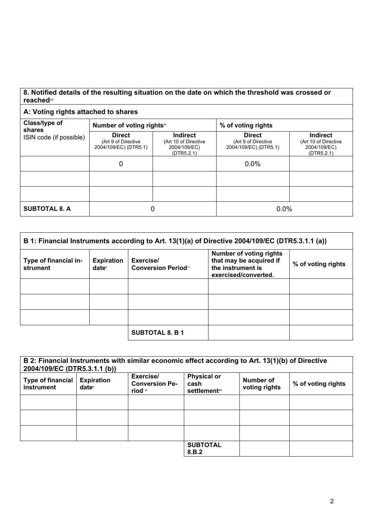## **8. Notified details of the resulting situation on the date on which the threshold was crossed or reached**viii

## **A: Voting rights attached to shares**

| Class/type of<br>shares | Number of voting rightsix                                     |                                                                       | % of voting rights                                            |                                                                       |  |
|-------------------------|---------------------------------------------------------------|-----------------------------------------------------------------------|---------------------------------------------------------------|-----------------------------------------------------------------------|--|
| ISIN code (if possible) | <b>Direct</b><br>(Art 9 of Directive<br>2004/109/EC) (DTR5.1) | <b>Indirect</b><br>(Art 10 of Directive<br>2004/109/EC)<br>(DTR5.2.1) | <b>Direct</b><br>(Art 9 of Directive<br>2004/109/EC) (DTR5.1) | <b>Indirect</b><br>(Art 10 of Directive<br>2004/109/EC)<br>(DTR5.2.1) |  |
|                         | 0                                                             |                                                                       | 0.0%                                                          |                                                                       |  |
|                         |                                                               |                                                                       |                                                               |                                                                       |  |
|                         |                                                               |                                                                       |                                                               |                                                                       |  |
| <b>SUBTOTAL 8. A</b>    |                                                               | 0                                                                     | 0.0%                                                          |                                                                       |  |

| B 1: Financial Instruments according to Art. 13(1)(a) of Directive 2004/109/EC (DTR5.3.1.1 (a)) |                                        |                                         |                                                                                                        |                    |
|-------------------------------------------------------------------------------------------------|----------------------------------------|-----------------------------------------|--------------------------------------------------------------------------------------------------------|--------------------|
| Type of financial in-<br>strument                                                               | <b>Expiration</b><br>date <sup>x</sup> | Exercise/<br><b>Conversion Periodxi</b> | <b>Number of voting rights</b><br>that may be acquired if<br>the instrument is<br>exercised/converted. | % of voting rights |
|                                                                                                 |                                        |                                         |                                                                                                        |                    |
|                                                                                                 |                                        |                                         |                                                                                                        |                    |
|                                                                                                 |                                        |                                         |                                                                                                        |                    |
|                                                                                                 |                                        | <b>SUBTOTAL 8. B 1</b>                  |                                                                                                        |                    |

| 2004/109/EC (DTR5.3.1.1 (b))           |                                        | B 2: Financial Instruments with similar economic effect according to Art. 13(1)(b) of Directive |                                                     |                            |                    |
|----------------------------------------|----------------------------------------|-------------------------------------------------------------------------------------------------|-----------------------------------------------------|----------------------------|--------------------|
| <b>Type of financial</b><br>instrument | <b>Expiration</b><br>date <sup>x</sup> | Exercise/<br><b>Conversion Pe-</b><br>riod xi                                                   | <b>Physical or</b><br>cash<br><b>settlement</b> xii | Number of<br>voting rights | % of voting rights |
|                                        |                                        |                                                                                                 |                                                     |                            |                    |
|                                        |                                        |                                                                                                 |                                                     |                            |                    |
|                                        |                                        |                                                                                                 |                                                     |                            |                    |
|                                        |                                        |                                                                                                 | <b>SUBTOTAL</b><br>8.B.2                            |                            |                    |